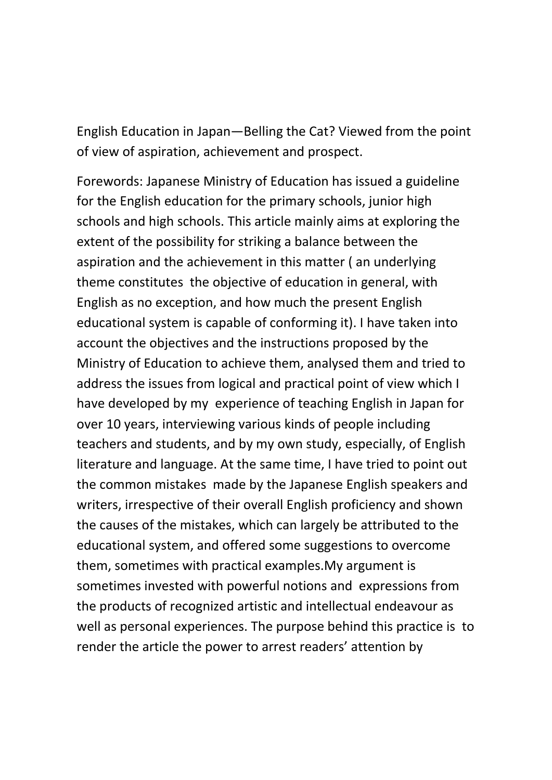English Education in Japan—Belling the Cat? Viewed from the point of view of aspiration, achievement and prospect.

Forewords: Japanese Ministry of Education has issued a guideline for the English education for the primary schools, junior high schools and high schools. This article mainly aims at exploring the extent of the possibility for striking a balance between the aspiration and the achievement in this matter ( an underlying theme constitutes the objective of education in general, with English as no exception, and how much the present English educational system is capable of conforming it). I have taken into account the objectives and the instructions proposed by the Ministry of Education to achieve them, analysed them and tried to address the issues from logical and practical point of view which I have developed by my experience of teaching English in Japan for over 10 years, interviewing various kinds of people including teachers and students, and by my own study, especially, of English literature and language. At the same time, I have tried to point out the common mistakes made by the Japanese English speakers and writers, irrespective of their overall English proficiency and shown the causes of the mistakes, which can largely be attributed to the educational system, and offered some suggestions to overcome them, sometimes with practical examples.My argument is sometimes invested with powerful notions and expressions from the products of recognized artistic and intellectual endeavour as well as personal experiences. The purpose behind this practice is to render the article the power to arrest readers' attention by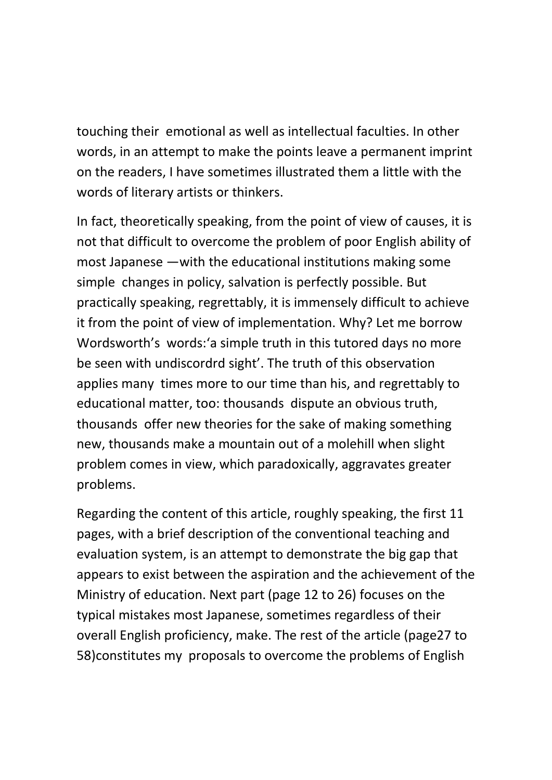touching their emotional as well as intellectual faculties. In other words, in an attempt to make the points leave a permanent imprint on the readers, I have sometimes illustrated them a little with the words of literary artists or thinkers.

In fact, theoretically speaking, from the point of view of causes, it is not that difficult to overcome the problem of poor English ability of most Japanese —with the educational institutions making some simple changes in policy, salvation is perfectly possible. But practically speaking, regrettably, it is immensely difficult to achieve it from the point of view of implementation. Why? Let me borrow Wordsworth's words:'a simple truth in this tutored days no more be seen with undiscordrd sight'. The truth of this observation applies many times more to our time than his, and regrettably to educational matter, too: thousands dispute an obvious truth, thousands offer new theories for the sake of making something new, thousands make a mountain out of a molehill when slight problem comes in view, which paradoxically, aggravates greater problems.

Regarding the content of this article, roughly speaking, the first 11 pages, with a brief description of the conventional teaching and evaluation system, is an attempt to demonstrate the big gap that appears to exist between the aspiration and the achievement of the Ministry of education. Next part (page 12 to 26) focuses on the typical mistakes most Japanese, sometimes regardless of their overall English proficiency, make. The rest of the article (page27 to 58)constitutes my proposals to overcome the problems of English